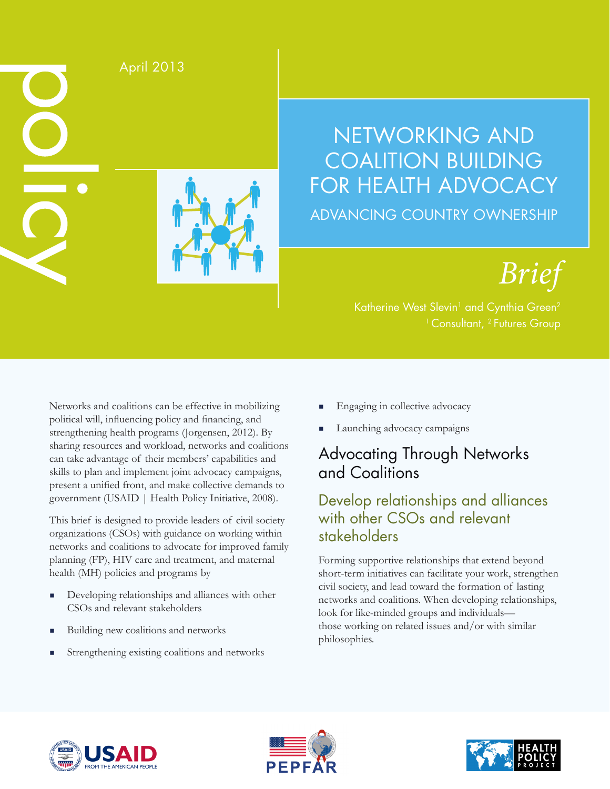

# NETWORKING AND COALITION BUILDING FOR HEALTH ADVOCACY ADVANCING COUNTRY OWNERSHIP

*Brief*

Networks and coalitions can be effective in mobilizing political will, influencing policy and financing, and strengthening health programs (Jorgensen, 2012). By sharing resources and workload, networks and coalitions can take advantage of their members' capabilities and skills to plan and implement joint advocacy campaigns, present a unified front, and make collective demands to government (USAID | Health Policy Initiative, 2008).

This brief is designed to provide leaders of civil society organizations (CSOs) with guidance on working within networks and coalitions to advocate for improved family planning (FP), HIV care and treatment, and maternal health (MH) policies and programs by

- Developing relationships and alliances with other CSOs and relevant stakeholders
- Building new coalitions and networks
- Strengthening existing coalitions and networks
- Engaging in collective advocacy
- Launching advocacy campaigns

# Advocating Through Networks and Coalitions

## Develop relationships and alliances with other CSOs and relevant stakeholders

Forming supportive relationships that extend beyond short-term initiatives can facilitate your work, strengthen civil society, and lead toward the formation of lasting networks and coalitions. When developing relationships, look for like-minded groups and individuals those working on related issues and/or with similar philosophies.





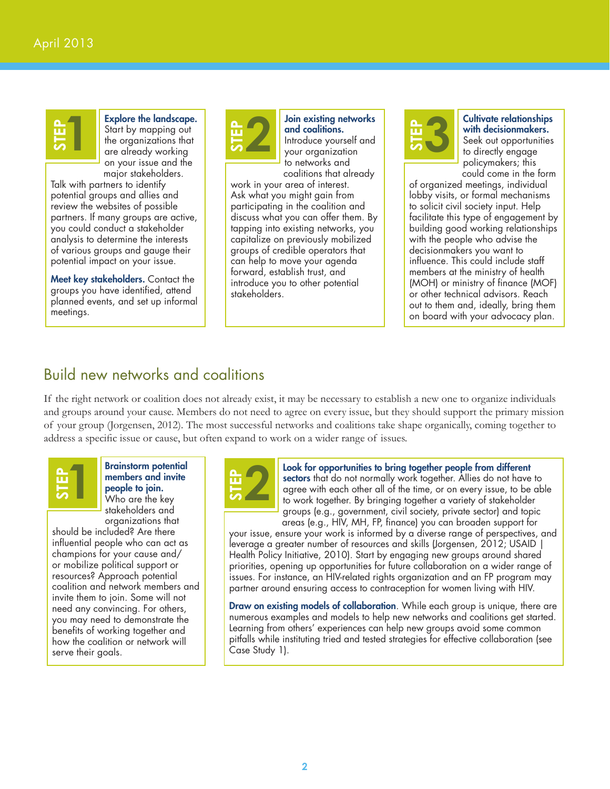# **STEP 1**

Explore the landscape. Start by mapping out the organizations that are already working on your issue and the major stakeholders.

Talk with partners to identify potential groups and allies and review the websites of possible partners. If many groups are active, you could conduct a stakeholder analysis to determine the interests of various groups and gauge their potential impact on your issue.

Meet key stakeholders. Contact the groups you have identified, attend planned events, and set up informal meetings.



**STEP 2** Join existing networks<br>and coalitions.<br>your organization and coalitions. Introduce yourself and your organization to networks and coalitions that already

work in your area of interest. Ask what you might gain from participating in the coalition and discuss what you can offer them. By tapping into existing networks, you capitalize on previously mobilized groups of credible operators that can help to move your agenda forward, establish trust, and introduce you to other potential stakeholders.



**STEPP SET Cultivate relationships**<br> **SEP SEE SEE SEE AND SEE SEE AND SEE SEE AND SEE SEE AND SEE AND SEE SEE AND SEE SEE AND SEE AND SEE SEE AND SEE AND SEE SEE AND SEE AND SEE AND SEE AND SEE AND SEE AND SEE AND SEE AND** with decisionmakers. Seek out opportunities to directly engage policymakers; this could come in the form

of organized meetings, individual lobby visits, or formal mechanisms to solicit civil society input. Help facilitate this type of engagement by building good working relationships with the people who advise the decisionmakers you want to influence. This could include staff members at the ministry of health (MOH) or ministry of finance (MOF) or other technical advisors. Reach out to them and, ideally, bring them on board with your advocacy plan.

### Build new networks and coalitions

If the right network or coalition does not already exist, it may be necessary to establish a new one to organize individuals and groups around your cause. Members do not need to agree on every issue, but they should support the primary mission of your group (Jorgensen, 2012). The most successful networks and coalitions take shape organically, coming together to address a specific issue or cause, but often expand to work on a wider range of issues.



Brainstorm potential members and invite people to join. Who are the key stakeholders and organizations that

should be included? Are there influential people who can act as champions for your cause and/ or mobilize political support or resources? Approach potential coalition and network members and invite them to join. Some will not need any convincing. For others, you may need to demonstrate the benefits of working together and how the coalition or network will serve their goals.



**STEPPONE STEPPONE TO A Look for opportunities to bring together people from different sectors that do not normally work together. Allies do not have agree with each other all of the time, or on every issue, to be to work sectors** that do not normally work together. Allies do not have to agree with each other all of the time, or on every issue, to be able to work together. By bringing together a variety of stakeholder groups (e.g., government, civil society, private sector) and topic areas (e.g., HIV, MH, FP, finance) you can broaden support for

your issue, ensure your work is informed by a diverse range of perspectives, and leverage a greater number of resources and skills (Jorgensen, 2012; USAID | Health Policy Initiative, 2010). Start by engaging new groups around shared priorities, opening up opportunities for future collaboration on a wider range of issues. For instance, an HIV-related rights organization and an FP program may partner around ensuring access to contraception for women living with HIV.

**Draw on existing models of collaboration**. While each group is unique, there are numerous examples and models to help new networks and coalitions get started. Learning from others' experiences can help new groups avoid some common pitfalls while instituting tried and tested strategies for effective collaboration (see Case Study 1).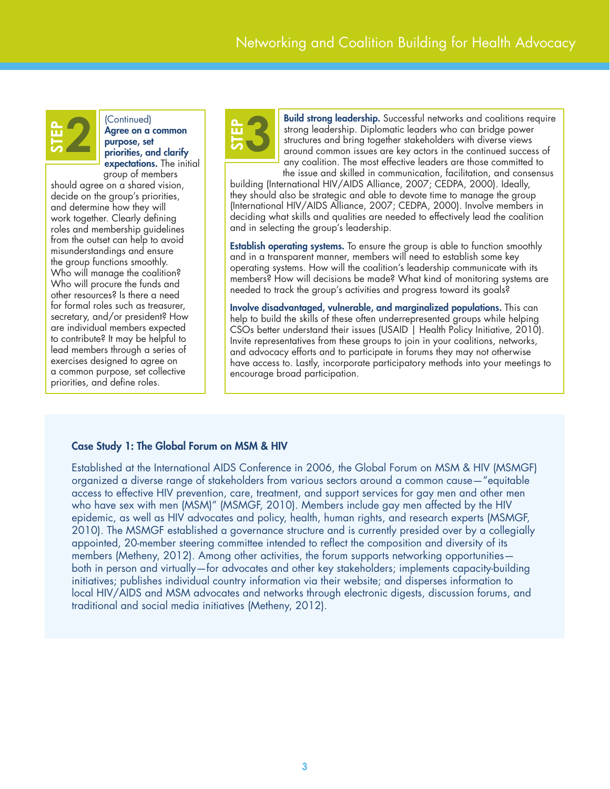

**Prior 2** (Continued)<br> **Agree on a common**<br>
priorities, and clarify<br> **Priorities**, and clarify Agree on a common purpose, set expectations. The initial group of members

should agree on a shared vision, decide on the group's priorities, and determine how they will work together. Clearly defining roles and membership guidelines from the outset can help to avoid misunderstandings and ensure the group functions smoothly. Who will manage the coalition? Who will procure the funds and other resources? Is there a need for formal roles such as treasurer, secretary, and/or president? How are individual members expected to contribute? It may be helpful to lead members through a series of exercises designed to agree on a common purpose, set collective priorities, and define roles.



**STEPP Build strong leadership.** Successful networks and coalitions require strong leadership. Diplomatic leaders who can bridge power structures and bring together stakeholders with diverse views around common issues are strong leadership. Diplomatic leaders who can bridge power structures and bring together stakeholders with diverse views any coalition. The most effective leaders are those committed to the issue and skilled in communication, facilitation, and consensus

building (International HIV/AIDS Alliance, 2007; CEDPA, 2000). Ideally, they should also be strategic and able to devote time to manage the group (International HIV/AIDS Alliance, 2007; CEDPA, 2000). Involve members in deciding what skills and qualities are needed to effectively lead the coalition and in selecting the group's leadership.

**Establish operating systems.** To ensure the group is able to function smoothly and in a transparent manner, members will need to establish some key operating systems. How will the coalition's leadership communicate with its members? How will decisions be made? What kind of monitoring systems are needed to track the group's activities and progress toward its goals?

Involve disadvantaged, vulnerable, and marginalized populations. This can help to build the skills of these often underrepresented groups while helping CSOs better understand their issues (USAID | Health Policy Initiative, 2010). Invite representatives from these groups to join in your coalitions, networks, and advocacy efforts and to participate in forums they may not otherwise have access to. Lastly, incorporate participatory methods into your meetings to encourage broad participation.

### Case Study 1: The Global Forum on MSM & HIV

Established at the International AIDS Conference in 2006, the Global Forum on MSM & HIV (MSMGF) organized a diverse range of stakeholders from various sectors around a common cause—"equitable access to effective HIV prevention, care, treatment, and support services for gay men and other men who have sex with men (MSM)" (MSMGF, 2010). Members include gay men affected by the HIV epidemic, as well as HIV advocates and policy, health, human rights, and research experts (MSMGF, 2010). The MSMGF established a governance structure and is currently presided over by a collegially appointed, 20-member steering committee intended to reflect the composition and diversity of its members (Metheny, 2012). Among other activities, the forum supports networking opportunities both in person and virtually—for advocates and other key stakeholders; implements capacity-building initiatives; publishes individual country information via their website; and disperses information to local HIV/AIDS and MSM advocates and networks through electronic digests, discussion forums, and traditional and social media initiatives (Metheny, 2012).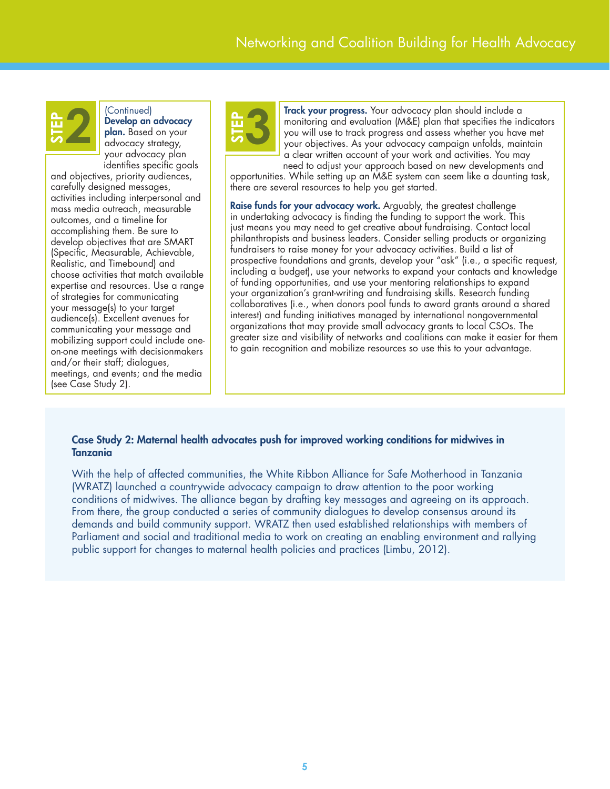

### (Continued)

Develop an advocacy plan. Based on your advocacy strategy, your advocacy plan identifies specific goals

and objectives, priority audiences, carefully designed messages, activities including interpersonal and mass media outreach, measurable outcomes, and a timeline for accomplishing them. Be sure to develop objectives that are SMART (Specific, Measurable, Achievable, Realistic, and Timebound) and choose activities that match available expertise and resources. Use a range of strategies for communicating your message(s) to your target audience(s). Excellent avenues for communicating your message and mobilizing support could include oneon-one meetings with decisionmakers and/or their staff; dialogues, meetings, and events; and the media (see Case Study 2).



Track your progress. Your advocacy plan should include a monitoring and evaluation (M&E) plan that specifies the indicators you will use to track progress and assess whether you have met your objectives. As your advocacy campaign unfolds, maintain  $\alpha$  clear written account of your work and activities. You may need to adjust your approach based on new developments and

opportunities. While setting up an M&E system can seem like a daunting task, there are several resources to help you get started.

Raise funds for your advocacy work. Arguably, the greatest challenge in undertaking advocacy is finding the funding to support the work. This just means you may need to get creative about fundraising. Contact local philanthropists and business leaders. Consider selling products or organizing fundraisers to raise money for your advocacy activities. Build a list of prospective foundations and grants, develop your "ask" (i.e., a specific request, including a budget), use your networks to expand your contacts and knowledge of funding opportunities, and use your mentoring relationships to expand your organization's grant-writing and fundraising skills. Research funding collaboratives (i.e., when donors pool funds to award grants around a shared interest) and funding initiatives managed by international nongovernmental organizations that may provide small advocacy grants to local CSOs. The greater size and visibility of networks and coalitions can make it easier for them to gain recognition and mobilize resources so use this to your advantage.

#### Case Study 2: Maternal health advocates push for improved working conditions for midwives in Tanzania

With the help of affected communities, the White Ribbon Alliance for Safe Motherhood in Tanzania (WRATZ) launched a countrywide advocacy campaign to draw attention to the poor working conditions of midwives. The alliance began by drafting key messages and agreeing on its approach. From there, the group conducted a series of community dialogues to develop consensus around its demands and build community support. WRATZ then used established relationships with members of Parliament and social and traditional media to work on creating an enabling environment and rallying public support for changes to maternal health policies and practices (Limbu, 2012).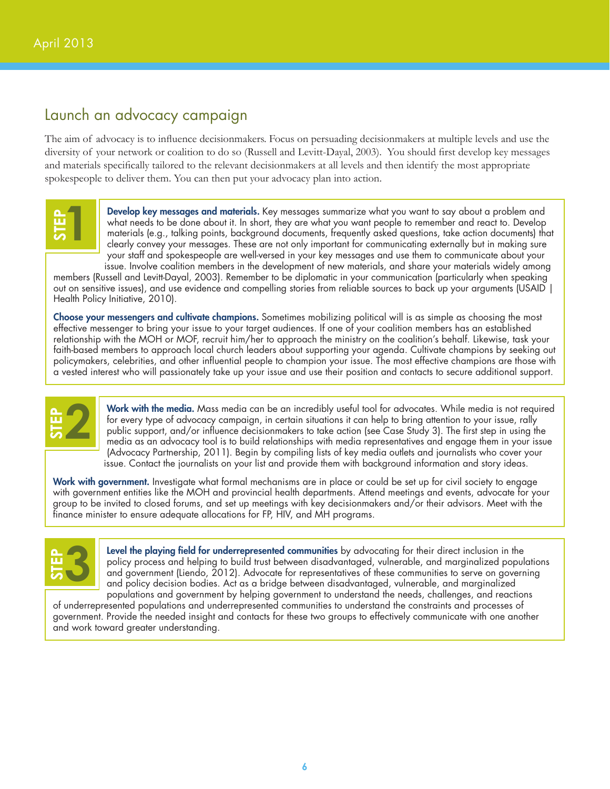### Launch an advocacy campaign

The aim of advocacy is to influence decisionmakers. Focus on persuading decisionmakers at multiple levels and use the diversity of your network or coalition to do so (Russell and Levitt-Dayal, 2003). You should first develop key messages and materials specifically tailored to the relevant decisionmakers at all levels and then identify the most appropriate spokespeople to deliver them. You can then put your advocacy plan into action.



Develop key messages and materials. Key messages summarize what you want to say about a problem and what needs to be done about it. In short, they are what you want people to remember and react to. Develop materials (e.g., talking points, background documents, frequently asked questions, take action documents) that clearly convey your messages. These are not only important for communicating externally but in making sure your staff and spokespeople are well-versed in your key messages and use them to communicate about your issue. Involve coalition members in the development of new materials, and share your materials widely among

members (Russell and Levitt-Dayal, 2003). Remember to be diplomatic in your communication (particularly when speaking out on sensitive issues), and use evidence and compelling stories from reliable sources to back up your arguments (USAID | Health Policy Initiative, 2010).

Choose your messengers and cultivate champions. Sometimes mobilizing political will is as simple as choosing the most effective messenger to bring your issue to your target audiences. If one of your coalition members has an established relationship with the MOH or MOF, recruit him/her to approach the ministry on the coalition's behalf. Likewise, task your faith-based members to approach local church leaders about supporting your agenda. Cultivate champions by seeking out policymakers, celebrities, and other influential people to champion your issue. The most effective champions are those with a vested interest who will passionately take up your issue and use their position and contacts to secure additional support.



Work with the media. Mass media can be an incredibly useful tool for advocates. While media is not required for every type of advocacy campaign, in certain situations it can help to bring attention to your issue, rally public support, and/or influence decisionmakers to take action (see Case Study 3). The first step in using the media as an advocacy tool is to build relationships with media representatives and engage them in your issue (Advocacy Partnership, 2011). Begin by compiling lists of key media outlets and journalists who cover your issue. Contact the journalists on your list and provide them with background information and story ideas. Finally the media. Mass media can be an incredibly useful tool<br>for every type of advocacy campaign, in certain situations it can he<br>public support, and/or influence decisionmakers to take action (see<br>media as an advocacy t

Work with government. Investigate what formal mechanisms are in place or could be set up for civil society to engage with government entities like the MOH and provincial health departments. Attend meetings and events, advocate for your group to be invited to closed forums, and set up meetings with key decisionmakers and/or their advisors. Meet with the<br>finance minister to ensure adequate allocations for FP, HIV, and MH programs.



Level the playing field for underrepresented communities by advocating for their direct inclusion in the policy process and helping to build trust between disadvantaged, vulnerable, and marginalized populations and government (Liendo, 2012). Advocate for representatives of these communities to serve on governing and policy decision bodies. Act as a bridge between disadvantaged, vulnerable, and marginalized populations and government by helping government to understand the needs, challenges, and reactions

of underrepresented populations and underrepresented communities to understand the constraints and processes of government. Provide the needed insight and contacts for these two groups to effectively communicate with one another and work toward greater understanding.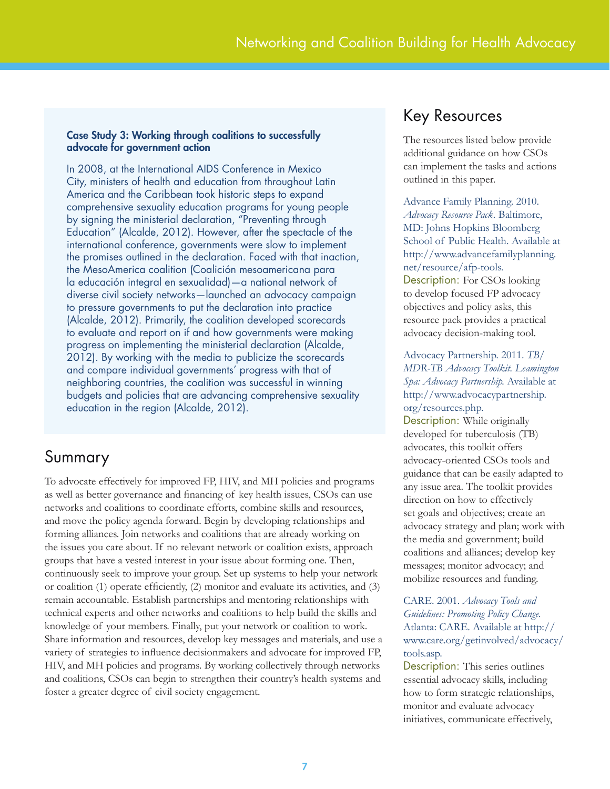### Case Study 3: Working through coalitions to successfully advocate for government action

In 2008, at the International AIDS Conference in Mexico City, ministers of health and education from throughout Latin America and the Caribbean took historic steps to expand comprehensive sexuality education programs for young people by signing the ministerial declaration, "Preventing through Education" (Alcalde, 2012). However, after the spectacle of the international conference, governments were slow to implement the promises outlined in the declaration. Faced with that inaction, the MesoAmerica coalition (Coalición mesoamericana para la educación integral en sexualidad)—a national network of diverse civil society networks—launched an advocacy campaign to pressure governments to put the declaration into practice (Alcalde, 2012). Primarily, the coalition developed scorecards to evaluate and report on if and how governments were making progress on implementing the ministerial declaration (Alcalde, 2012). By working with the media to publicize the scorecards and compare individual governments' progress with that of neighboring countries, the coalition was successful in winning budgets and policies that are advancing comprehensive sexuality education in the region (Alcalde, 2012).

### Summary

To advocate effectively for improved FP, HIV, and MH policies and programs as well as better governance and financing of key health issues, CSOs can use networks and coalitions to coordinate efforts, combine skills and resources, and move the policy agenda forward. Begin by developing relationships and forming alliances. Join networks and coalitions that are already working on the issues you care about. If no relevant network or coalition exists, approach groups that have a vested interest in your issue about forming one. Then, continuously seek to improve your group. Set up systems to help your network or coalition (1) operate efficiently, (2) monitor and evaluate its activities, and (3) remain accountable. Establish partnerships and mentoring relationships with technical experts and other networks and coalitions to help build the skills and knowledge of your members. Finally, put your network or coalition to work. Share information and resources, develop key messages and materials, and use a variety of strategies to influence decisionmakers and advocate for improved FP, HIV, and MH policies and programs. By working collectively through networks and coalitions, CSOs can begin to strengthen their country's health systems and foster a greater degree of civil society engagement.

### Key Resources

The resources listed below provide additional guidance on how CSOs can implement the tasks and actions outlined in this paper.

Advance Family Planning. 2010. *Advocacy Resource Pack.* Baltimore, MD: Johns Hopkins Bloomberg School of Public Health. Available at http://www.advancefamilyplanning. net/resource/afp-tools. Description: For CSOs looking to develop focused FP advocacy objectives and policy asks, this resource pack provides a practical advocacy decision-making tool.

### Advocacy Partnership. 2011. *TB/ MDR-TB Advocacy Toolkit. Leamington Spa: Advocacy Partnership.* Available at http://www.advocacypartnership. org/resources.php.

Description: While originally developed for tuberculosis (TB) advocates, this toolkit offers advocacy-oriented CSOs tools and guidance that can be easily adapted to any issue area. The toolkit provides direction on how to effectively set goals and objectives; create an advocacy strategy and plan; work with the media and government; build coalitions and alliances; develop key messages; monitor advocacy; and mobilize resources and funding.

CARE. 2001. *Advocacy Tools and Guidelines: Promoting Policy Change.*  Atlanta: CARE. Available at http:// www.care.org/getinvolved/advocacy/ tools.asp.

Description: This series outlines essential advocacy skills, including how to form strategic relationships, monitor and evaluate advocacy initiatives, communicate effectively,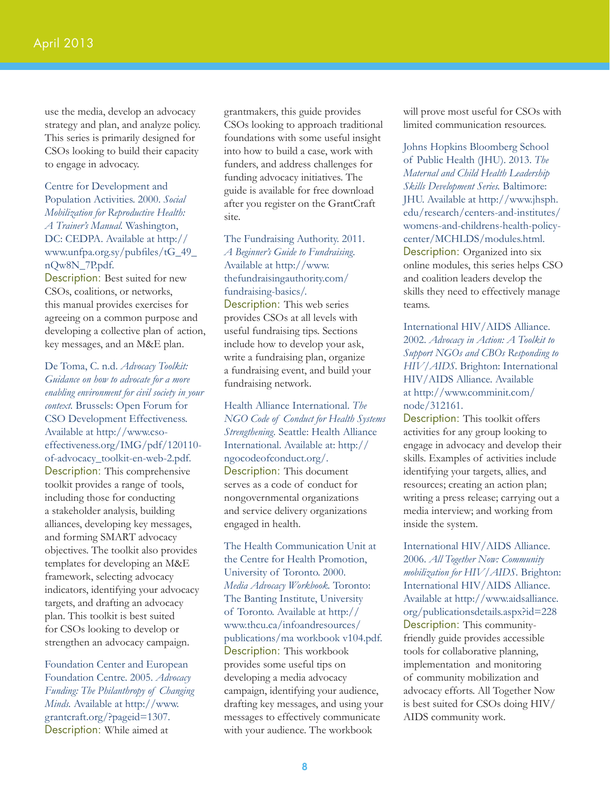use the media, develop an advocacy strategy and plan, and analyze policy. This series is primarily designed for CSOs looking to build their capacity to engage in advocacy.

Centre for Development and Population Activities. 2000. *Social Mobilization for Reproductive Health: A Trainer's Manual.* Washington, DC: CEDPA. Available at http:// www.unfpa.org.sy/pubfiles/tG\_49\_ nQw8N\_7P.pdf.

Description: Best suited for new CSOs, coalitions, or networks, this manual provides exercises for agreeing on a common purpose and developing a collective plan of action, key messages, and an M&E plan.

De Toma, C. n.d. *Advocacy Toolkit: Guidance on how to advocate for a more enabling environment for civil society in your context.* Brussels: Open Forum for CSO Development Effectiveness. Available at http://www.csoeffectiveness.org/IMG/pdf/120110 of-advocacy\_toolkit-en-web-2.pdf. Description: This comprehensive toolkit provides a range of tools, including those for conducting a stakeholder analysis, building alliances, developing key messages, and forming SMART advocacy objectives. The toolkit also provides templates for developing an M&E framework, selecting advocacy indicators, identifying your advocacy targets, and drafting an advocacy plan. This toolkit is best suited for CSOs looking to develop or strengthen an advocacy campaign.

Foundation Center and European Foundation Centre. 2005. *Advocacy Funding: The Philanthropy of Changing Minds.* Available at http://www. grantcraft.org/?pageid=1307. Description: While aimed at

grantmakers, this guide provides CSOs looking to approach traditional foundations with some useful insight into how to build a case, work with funders, and address challenges for funding advocacy initiatives. The guide is available for free download after you register on the GrantCraft site.

The Fundraising Authority. 2011. *A Beginner's Guide to Fundraising.* Available at http://www. thefundraisingauthority.com/ fundraising-basics/. Description: This web series provides CSOs at all levels with useful fundraising tips. Sections include how to develop your ask, write a fundraising plan, organize a fundraising event, and build your fundraising network.

Health Alliance International. *The NGO Code of Conduct for Health Systems Strengthening.* Seattle: Health Alliance International. Available at: http:// ngocodeofconduct.org/. Description: This document serves as a code of conduct for nongovernmental organizations and service delivery organizations engaged in health.

The Health Communication Unit at the Centre for Health Promotion, University of Toronto. 2000. *Media Advocacy Workbook.* Toronto: The Banting Institute, University of Toronto. Available at http:// www.thcu.ca/infoandresources/ publications/ma workbook v104.pdf. Description: This workbook provides some useful tips on developing a media advocacy campaign, identifying your audience, drafting key messages, and using your messages to effectively communicate with your audience. The workbook

will prove most useful for CSOs with limited communication resources.

Johns Hopkins Bloomberg School of Public Health (JHU). 2013. *The Maternal and Child Health Leadership Skills Development Series.* Baltimore: JHU. Available at http://www.jhsph. edu/research/centers-and-institutes/ womens-and-childrens-health-policycenter/MCHLDS/modules.html. Description: Organized into six online modules, this series helps CSO and coalition leaders develop the skills they need to effectively manage teams.

International HIV/AIDS Alliance. 2002. *Advocacy in Action: A Toolkit to Support NGOs and CBOs Responding to HIV/AIDS*. Brighton: International HIV/AIDS Alliance. Available at http://www.comminit.com/ node/312161.

Description: This toolkit offers activities for any group looking to engage in advocacy and develop their skills. Examples of activities include identifying your targets, allies, and resources; creating an action plan; writing a press release; carrying out a media interview; and working from inside the system.

International HIV/AIDS Alliance. 2006. *All Together Now: Community mobilization for HIV/AIDS.* Brighton: International HIV/AIDS Alliance. Available at http://www.aidsalliance. org/publicationsdetails.aspx?id=228 Description: This communityfriendly guide provides accessible tools for collaborative planning, implementation and monitoring of community mobilization and advocacy efforts. All Together Now is best suited for CSOs doing HIV/ AIDS community work.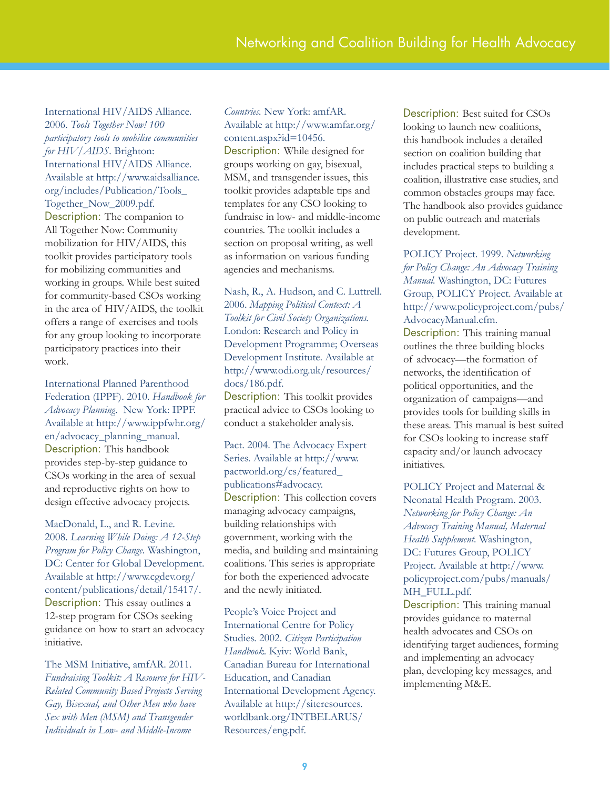International HIV/AIDS Alliance. 2006. *Tools Together Now! 100 participatory tools to mobilise communities for HIV/AIDS.* Brighton: International HIV/AIDS Alliance. Available at http://www.aidsalliance. org/includes/Publication/Tools\_ Together\_Now\_2009.pdf. Description: The companion to All Together Now: Community mobilization for HIV/AIDS, this toolkit provides participatory tools for mobilizing communities and working in groups. While best suited for community-based CSOs working in the area of HIV/AIDS, the toolkit offers a range of exercises and tools for any group looking to incorporate participatory practices into their work.

International Planned Parenthood Federation (IPPF). 2010. *Handbook for Advocacy Planning.* New York: IPPF. Available at http://www.ippfwhr.org/ en/advocacy\_planning\_manual. Description: This handbook provides step-by-step guidance to CSOs working in the area of sexual and reproductive rights on how to design effective advocacy projects.

MacDonald, L., and R. Levine. 2008. *Learning While Doing: A 12-Step Program for Policy Change.* Washington, DC: Center for Global Development. Available at http://www.cgdev.org/ content/publications/detail/15417/. Description: This essay outlines a 12-step program for CSOs seeking guidance on how to start an advocacy initiative.

The MSM Initiative, amfAR. 2011. *Fundraising Toolkit: A Resource for HIV-Related Community Based Projects Serving Gay, Bisexual, and Other Men who have Sex with Men (MSM) and Transgender Individuals in Low- and Middle-Income* 

### *Countries.* New York: amfAR. Available at http://www.amfar.org/ content.aspx?id=10456.

Description: While designed for groups working on gay, bisexual, MSM, and transgender issues, this toolkit provides adaptable tips and templates for any CSO looking to fundraise in low- and middle-income countries. The toolkit includes a section on proposal writing, as well as information on various funding agencies and mechanisms.

Nash, R., A. Hudson, and C. Luttrell. 2006. *Mapping Political Context: A Toolkit for Civil Society Organizations.*  London: Research and Policy in Development Programme; Overseas Development Institute. Available at http://www.odi.org.uk/resources/ docs/186.pdf.

Description: This toolkit provides practical advice to CSOs looking to conduct a stakeholder analysis.

Pact. 2004. The Advocacy Expert Series. Available at http://www. pactworld.org/cs/featured\_ publications#advocacy. Description: This collection covers managing advocacy campaigns, building relationships with government, working with the media, and building and maintaining coalitions. This series is appropriate for both the experienced advocate and the newly initiated.

People's Voice Project and International Centre for Policy Studies. 2002. *Citizen Participation Handbook.* Kyiv: World Bank, Canadian Bureau for International Education, and Canadian International Development Agency. Available at http://siteresources. worldbank.org/INTBELARUS/ Resources/eng.pdf.

Description: Best suited for CSOs looking to launch new coalitions, this handbook includes a detailed section on coalition building that includes practical steps to building a coalition, illustrative case studies, and common obstacles groups may face. The handbook also provides guidance on public outreach and materials development.

POLICY Project. 1999. *Networking for Policy Change: An Advocacy Training Manual.* Washington, DC: Futures Group, POLICY Project. Available at http://www.policyproject.com/pubs/ AdvocacyManual.cfm. Description: This training manual outlines the three building blocks of advocacy—the formation of networks, the identification of political opportunities, and the organization of campaigns—and provides tools for building skills in these areas. This manual is best suited for CSOs looking to increase staff capacity and/or launch advocacy initiatives.

POLICY Project and Maternal & Neonatal Health Program. 2003. *Networking for Policy Change: An Advocacy Training Manual, Maternal Health Supplement.* Washington, DC: Futures Group, POLICY Project. Available at http://www. policyproject.com/pubs/manuals/ MH\_FULL.pdf.

Description: This training manual provides guidance to maternal health advocates and CSOs on identifying target audiences, forming and implementing an advocacy plan, developing key messages, and implementing M&E.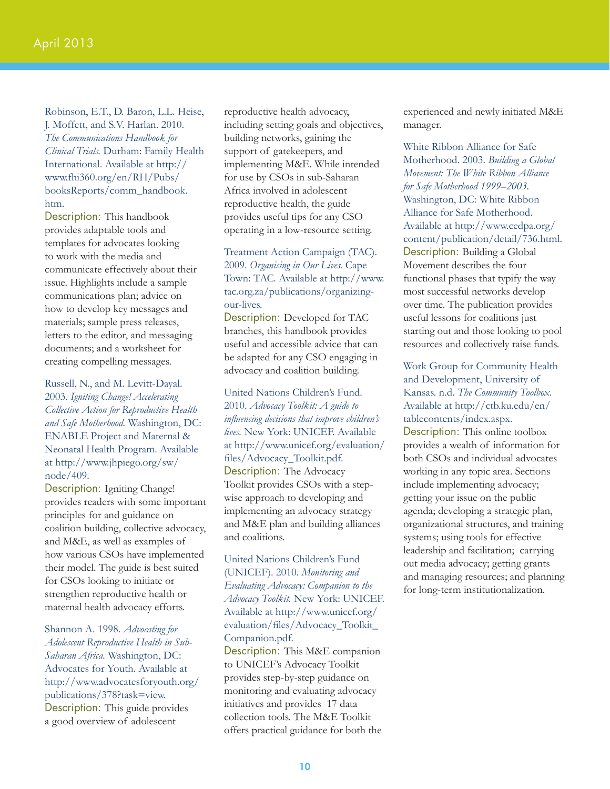Robinson, E.T., D. Baron, L.L. Heise, J. Moffett, and S.V. Harlan. 2010. *The Communications Handbook for Clinical Trials.* Durham: Family Health International. Available at http:// www.fhi360.org/en/RH/Pubs/ booksReports/comm\_handbook. htm.

Description: This handbook provides adaptable tools and templates for advocates looking to work with the media and communicate effectively about their issue. Highlights include a sample communications plan; advice on how to develop key messages and materials; sample press releases, letters to the editor, and messaging documents; and a worksheet for creating compelling messages.

Russell, N., and M. Levitt-Dayal. 2003. *Igniting Change! Accelerating Collective Action for Reproductive Health and Safe Motherhood.* Washington, DC: ENABLE Project and Maternal & Neonatal Health Program. Available at http://www.jhpiego.org/sw/ node/409.

Description: Igniting Change! provides readers with some important principles for and guidance on coalition building, collective advocacy, and M&E, as well as examples of how various CSOs have implemented their model. The guide is best suited for CSOs looking to initiate or strengthen reproductive health or maternal health advocacy efforts.

Shannon A. 1998. *Advocating for Adolescent Reproductive Health in Sub-Saharan Africa.* Washington, DC: Advocates for Youth. Available at http://www.advocatesforyouth.org/ publications/378?task=view. Description: This guide provides a good overview of adolescent

reproductive health advocacy, including setting goals and objectives, building networks, gaining the support of gatekeepers, and implementing M&E. While intended for use by CSOs in sub-Saharan Africa involved in adolescent reproductive health, the guide provides useful tips for any CSO operating in a low-resource setting.

### Treatment Action Campaign (TAC). 2009. *Organising in Our Lives.* Cape Town: TAC. Available at http://www. tac.org.za/publications/organizingour-lives.

Description: Developed for TAC branches, this handbook provides useful and accessible advice that can be adapted for any CSO engaging in advocacy and coalition building.

United Nations Children's Fund. 2010. *Advocacy Toolkit: A guide to influencing decisions that improve children's lives.* New York: UNICEF. Available at http://www.unicef.org/evaluation/ files/Advocacy\_Toolkit.pdf. Description: The Advocacy Toolkit provides CSOs with a stepwise approach to developing and implementing an advocacy strategy and M&E plan and building alliances and coalitions.

United Nations Children's Fund (UNICEF). 2010. *Monitoring and Evaluating Advocacy: Companion to the Advocacy Toolkit.* New York: UNICEF. Available at http://www.unicef.org/ evaluation/files/Advocacy\_Toolkit\_ Companion.pdf. Description: This M&E companion to UNICEF's Advocacy Toolkit provides step-by-step guidance on monitoring and evaluating advocacy initiatives and provides 17 data collection tools. The M&E Toolkit offers practical guidance for both the

experienced and newly initiated M&E manager.

White Ribbon Alliance for Safe Motherhood. 2003. *Building a Global Movement: The White Ribbon Alliance for Safe Motherhood 1999–2003.*  Washington, DC: White Ribbon Alliance for Safe Motherhood. Available at http://www.cedpa.org/ content/publication/detail/736.html. Description: Building a Global Movement describes the four functional phases that typify the way most successful networks develop over time. The publication provides useful lessons for coalitions just starting out and those looking to pool resources and collectively raise funds.

### Work Group for Community Health and Development, University of Kansas. n.d. *The Community Toolbox.*  Available at http://ctb.ku.edu/en/ tablecontents/index.aspx.

Description: This online toolbox provides a wealth of information for both CSOs and individual advocates working in any topic area. Sections include implementing advocacy; getting your issue on the public agenda; developing a strategic plan, organizational structures, and training systems; using tools for effective leadership and facilitation; carrying out media advocacy; getting grants and managing resources; and planning for long-term institutionalization.